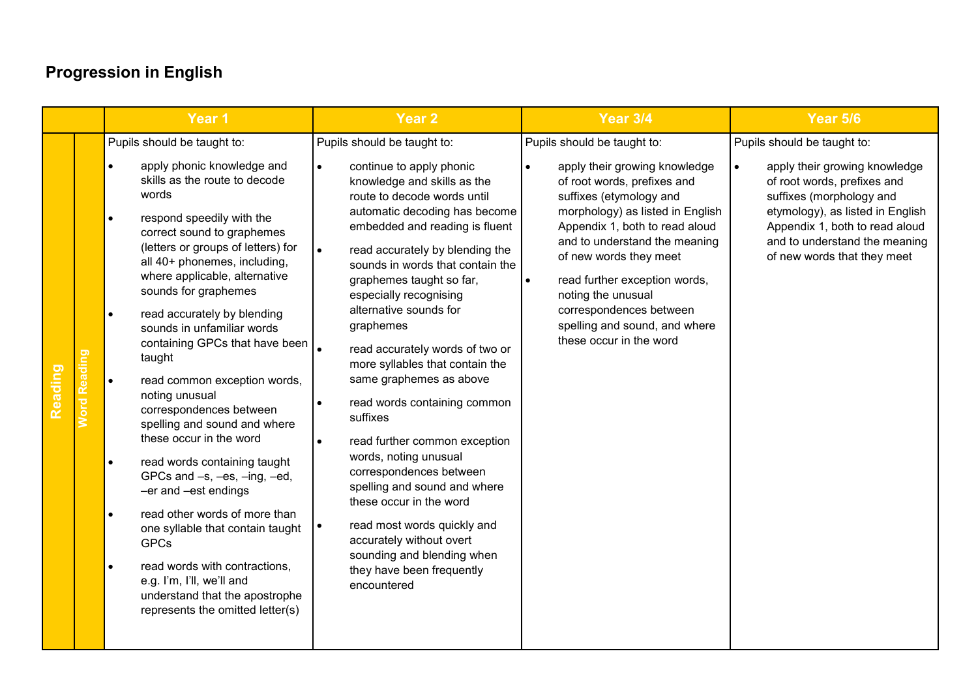|                                | Year 1                                                                                                                                                                                                                                                                                                                                                                                                                                                                                                                                                                                                                                                                                                                                                                                                                                                                                                | Year <sub>2</sub>                                                                                                                                                                                                                                                                                                                                                                                                                                                                                                                                                                                                                                                                                                                                                                                           | <b>Year 3/4</b>                                                                                                                                                                                                                                                                                                                                                                                       | <b>Year 5/6</b>                                                                                                                                                                                                                                                            |
|--------------------------------|-------------------------------------------------------------------------------------------------------------------------------------------------------------------------------------------------------------------------------------------------------------------------------------------------------------------------------------------------------------------------------------------------------------------------------------------------------------------------------------------------------------------------------------------------------------------------------------------------------------------------------------------------------------------------------------------------------------------------------------------------------------------------------------------------------------------------------------------------------------------------------------------------------|-------------------------------------------------------------------------------------------------------------------------------------------------------------------------------------------------------------------------------------------------------------------------------------------------------------------------------------------------------------------------------------------------------------------------------------------------------------------------------------------------------------------------------------------------------------------------------------------------------------------------------------------------------------------------------------------------------------------------------------------------------------------------------------------------------------|-------------------------------------------------------------------------------------------------------------------------------------------------------------------------------------------------------------------------------------------------------------------------------------------------------------------------------------------------------------------------------------------------------|----------------------------------------------------------------------------------------------------------------------------------------------------------------------------------------------------------------------------------------------------------------------------|
| <b>Word Reading</b><br>Reading | Pupils should be taught to:<br>apply phonic knowledge and<br>skills as the route to decode<br>words<br>respond speedily with the<br>$\bullet$<br>correct sound to graphemes<br>(letters or groups of letters) for<br>all 40+ phonemes, including,<br>where applicable, alternative<br>sounds for graphemes<br>read accurately by blending<br>$\bullet$<br>sounds in unfamiliar words<br>containing GPCs that have been<br>taught<br>read common exception words,<br>$\bullet$<br>noting unusual<br>correspondences between<br>spelling and sound and where<br>these occur in the word<br>read words containing taught<br>GPCs and -s, -es, -ing, -ed,<br>-er and -est endings<br>read other words of more than<br>one syllable that contain taught<br><b>GPCs</b><br>read words with contractions,<br>e.g. I'm, I'll, we'll and<br>understand that the apostrophe<br>represents the omitted letter(s) | Pupils should be taught to:<br>continue to apply phonic<br>knowledge and skills as the<br>route to decode words until<br>automatic decoding has become<br>embedded and reading is fluent<br>$\bullet$<br>read accurately by blending the<br>sounds in words that contain the<br>graphemes taught so far,<br>especially recognising<br>alternative sounds for<br>graphemes<br>read accurately words of two or<br>more syllables that contain the<br>same graphemes as above<br>read words containing common<br>suffixes<br>read further common exception<br>words, noting unusual<br>correspondences between<br>spelling and sound and where<br>these occur in the word<br>read most words quickly and<br>accurately without overt<br>sounding and blending when<br>they have been frequently<br>encountered | Pupils should be taught to:<br>apply their growing knowledge<br>of root words, prefixes and<br>suffixes (etymology and<br>morphology) as listed in English<br>Appendix 1, both to read aloud<br>and to understand the meaning<br>of new words they meet<br>read further exception words,<br>noting the unusual<br>correspondences between<br>spelling and sound, and where<br>these occur in the word | Pupils should be taught to:<br>apply their growing knowledge<br>$\bullet$<br>of root words, prefixes and<br>suffixes (morphology and<br>etymology), as listed in English<br>Appendix 1, both to read aloud<br>and to understand the meaning<br>of new words that they meet |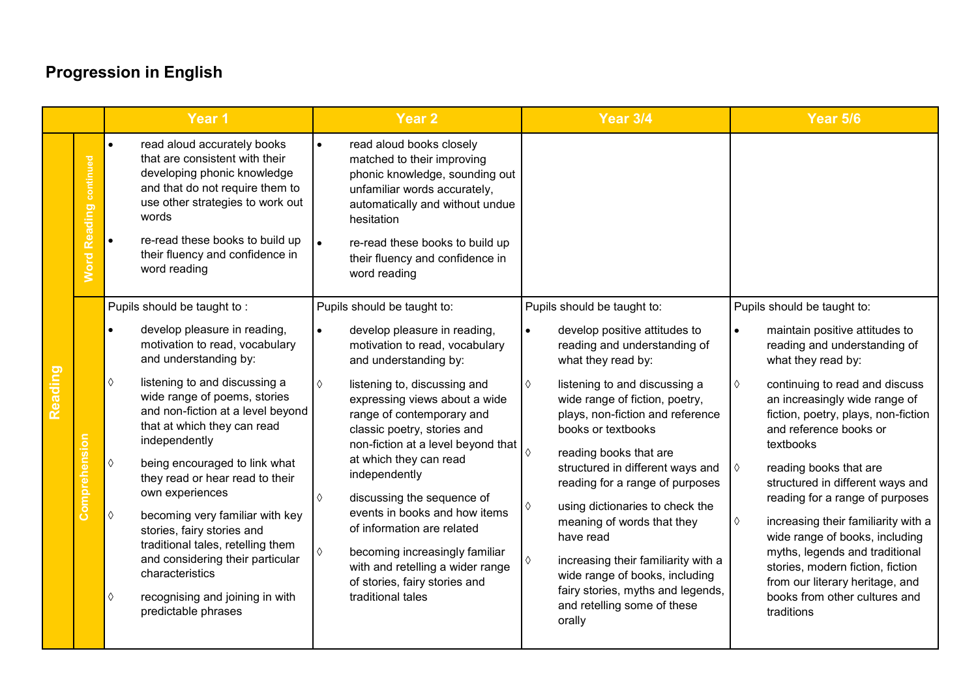|         |                                  | Year 1                                                                                                                                                                                                                                                                                                                                                                                                                                                                                                                                                                                                                  | <b>Year 2</b>                                                                                                                                                                                                                                                                                                                                                                                                                                                                                                                                                                | <b>Year 3/4</b>                                                                                                                                                                                                                                                                                                                                                                                                                                                                                                                                                                                                        | <b>Year 5/6</b>                                                                                                                                                                                                                                                                                                                                                                                                                                                                                                                                                                                                                    |
|---------|----------------------------------|-------------------------------------------------------------------------------------------------------------------------------------------------------------------------------------------------------------------------------------------------------------------------------------------------------------------------------------------------------------------------------------------------------------------------------------------------------------------------------------------------------------------------------------------------------------------------------------------------------------------------|------------------------------------------------------------------------------------------------------------------------------------------------------------------------------------------------------------------------------------------------------------------------------------------------------------------------------------------------------------------------------------------------------------------------------------------------------------------------------------------------------------------------------------------------------------------------------|------------------------------------------------------------------------------------------------------------------------------------------------------------------------------------------------------------------------------------------------------------------------------------------------------------------------------------------------------------------------------------------------------------------------------------------------------------------------------------------------------------------------------------------------------------------------------------------------------------------------|------------------------------------------------------------------------------------------------------------------------------------------------------------------------------------------------------------------------------------------------------------------------------------------------------------------------------------------------------------------------------------------------------------------------------------------------------------------------------------------------------------------------------------------------------------------------------------------------------------------------------------|
|         | <b>Reading continued</b><br>Word | read aloud accurately books<br>$\bullet$<br>that are consistent with their<br>developing phonic knowledge<br>and that do not require them to<br>use other strategies to work out<br>words<br>re-read these books to build up<br>$\bullet$<br>their fluency and confidence in<br>word reading                                                                                                                                                                                                                                                                                                                            | read aloud books closely<br>$\bullet$<br>matched to their improving<br>phonic knowledge, sounding out<br>unfamiliar words accurately,<br>automatically and without undue<br>hesitation<br>re-read these books to build up<br>$\bullet$<br>their fluency and confidence in<br>word reading                                                                                                                                                                                                                                                                                    |                                                                                                                                                                                                                                                                                                                                                                                                                                                                                                                                                                                                                        |                                                                                                                                                                                                                                                                                                                                                                                                                                                                                                                                                                                                                                    |
| Reading | Comprehension                    | Pupils should be taught to:<br>develop pleasure in reading,<br>motivation to read, vocabulary<br>and understanding by:<br>listening to and discussing a<br>♦<br>wide range of poems, stories<br>and non-fiction at a level beyond<br>that at which they can read<br>independently<br>$\Diamond$<br>being encouraged to link what<br>they read or hear read to their<br>own experiences<br>becoming very familiar with key<br>♦<br>stories, fairy stories and<br>traditional tales, retelling them<br>and considering their particular<br>characteristics<br>recognising and joining in with<br>♦<br>predictable phrases | Pupils should be taught to:<br>develop pleasure in reading,<br>motivation to read, vocabulary<br>and understanding by:<br>listening to, discussing and<br>♦<br>expressing views about a wide<br>range of contemporary and<br>classic poetry, stories and<br>non-fiction at a level beyond that<br>at which they can read<br>independently<br>discussing the sequence of<br>♦<br>events in books and how items<br>of information are related<br>♦<br>becoming increasingly familiar<br>with and retelling a wider range<br>of stories, fairy stories and<br>traditional tales | Pupils should be taught to:<br>develop positive attitudes to<br>$\bullet$<br>reading and understanding of<br>what they read by:<br>listening to and discussing a<br>♦<br>wide range of fiction, poetry,<br>plays, non-fiction and reference<br>books or textbooks<br>reading books that are<br>♦<br>structured in different ways and<br>reading for a range of purposes<br>using dictionaries to check the<br>♦<br>meaning of words that they<br>have read<br>increasing their familiarity with a<br>♦<br>wide range of books, including<br>fairy stories, myths and legends,<br>and retelling some of these<br>orally | Pupils should be taught to:<br>maintain positive attitudes to<br>$\bullet$<br>reading and understanding of<br>what they read by:<br>continuing to read and discuss<br>♦<br>an increasingly wide range of<br>fiction, poetry, plays, non-fiction<br>and reference books or<br>textbooks<br>reading books that are<br>♦<br>structured in different ways and<br>reading for a range of purposes<br>increasing their familiarity with a<br>♦<br>wide range of books, including<br>myths, legends and traditional<br>stories, modern fiction, fiction<br>from our literary heritage, and<br>books from other cultures and<br>traditions |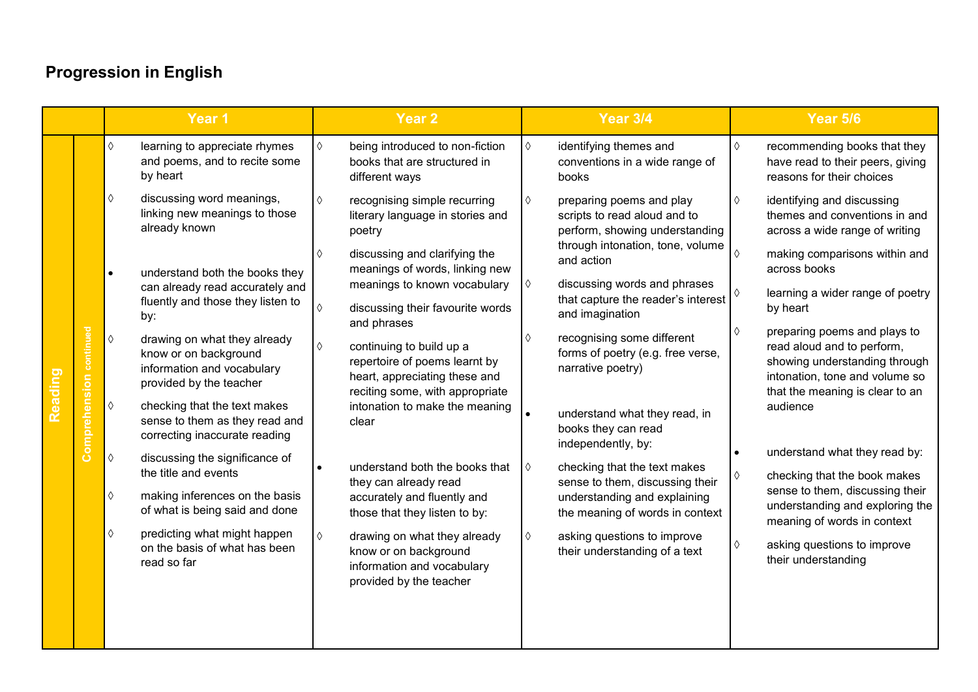|                |               | Year 1                                                                                                                       | Year <sub>2</sub>                                                                                                                  | <b>Year 3/4</b>                                                                                      | <b>Year 5/6</b>                                                                                                                                                  |
|----------------|---------------|------------------------------------------------------------------------------------------------------------------------------|------------------------------------------------------------------------------------------------------------------------------------|------------------------------------------------------------------------------------------------------|------------------------------------------------------------------------------------------------------------------------------------------------------------------|
|                |               | $\Diamond$<br>learning to appreciate rhymes<br>and poems, and to recite some<br>by heart                                     | being introduced to non-fiction<br>♦<br>books that are structured in<br>different ways                                             | identifying themes and<br>$\Diamond$<br>$\Diamond$<br>conventions in a wide range of<br>books        | recommending books that they<br>have read to their peers, giving<br>reasons for their choices                                                                    |
|                |               | discussing word meanings,<br>$\Diamond$<br>linking new meanings to those<br>already known                                    | recognising simple recurring<br>♦<br>literary language in stories and<br>poetry                                                    | preparing poems and play<br>♦<br>♦<br>scripts to read aloud and to<br>perform, showing understanding | identifying and discussing<br>themes and conventions in and<br>across a wide range of writing                                                                    |
|                |               | understand both the books they<br>$\bullet$<br>can already read accurately and                                               | discussing and clarifying the<br>♦<br>meanings of words, linking new<br>meanings to known vocabulary                               | through intonation, tone, volume<br>$\Diamond$<br>and action<br>discussing words and phrases<br>♦    | making comparisons within and<br>across books                                                                                                                    |
|                |               | fluently and those they listen to<br>by:                                                                                     | $\Diamond$<br>discussing their favourite words<br>and phrases                                                                      | that capture the reader's interest<br>and imagination                                                | learning a wider range of poetry<br>by heart                                                                                                                     |
| <b>Reading</b> | continued     | $\Diamond$<br>drawing on what they already<br>know or on background<br>information and vocabulary<br>provided by the teacher | continuing to build up a<br>♦<br>repertoire of poems learnt by<br>heart, appreciating these and<br>reciting some, with appropriate | ♦<br>recognising some different<br>♦<br>forms of poetry (e.g. free verse,<br>narrative poetry)       | preparing poems and plays to<br>read aloud and to perform,<br>showing understanding through<br>intonation, tone and volume so<br>that the meaning is clear to an |
|                | Comprehension | $\Diamond$<br>checking that the text makes<br>sense to them as they read and<br>correcting inaccurate reading                | intonation to make the meaning<br>clear                                                                                            | understand what they read, in<br>books they can read<br>independently, by:                           | audience                                                                                                                                                         |
|                |               | $\Diamond$<br>discussing the significance of<br>the title and events                                                         | understand both the books that<br>they can already read                                                                            | checking that the text makes<br>♦<br>$\Diamond$<br>sense to them, discussing their                   | understand what they read by:<br>checking that the book makes                                                                                                    |
|                |               | making inferences on the basis<br>$\Diamond$<br>of what is being said and done                                               | accurately and fluently and<br>those that they listen to by:                                                                       | understanding and explaining<br>the meaning of words in context                                      | sense to them, discussing their<br>understanding and exploring the<br>meaning of words in context                                                                |
|                |               | ♦<br>predicting what might happen<br>on the basis of what has been<br>read so far                                            | $\Diamond$<br>drawing on what they already<br>know or on background<br>information and vocabulary<br>provided by the teacher       | asking questions to improve<br>$\Diamond$<br>♦<br>their understanding of a text                      | asking questions to improve<br>their understanding                                                                                                               |
|                |               |                                                                                                                              |                                                                                                                                    |                                                                                                      |                                                                                                                                                                  |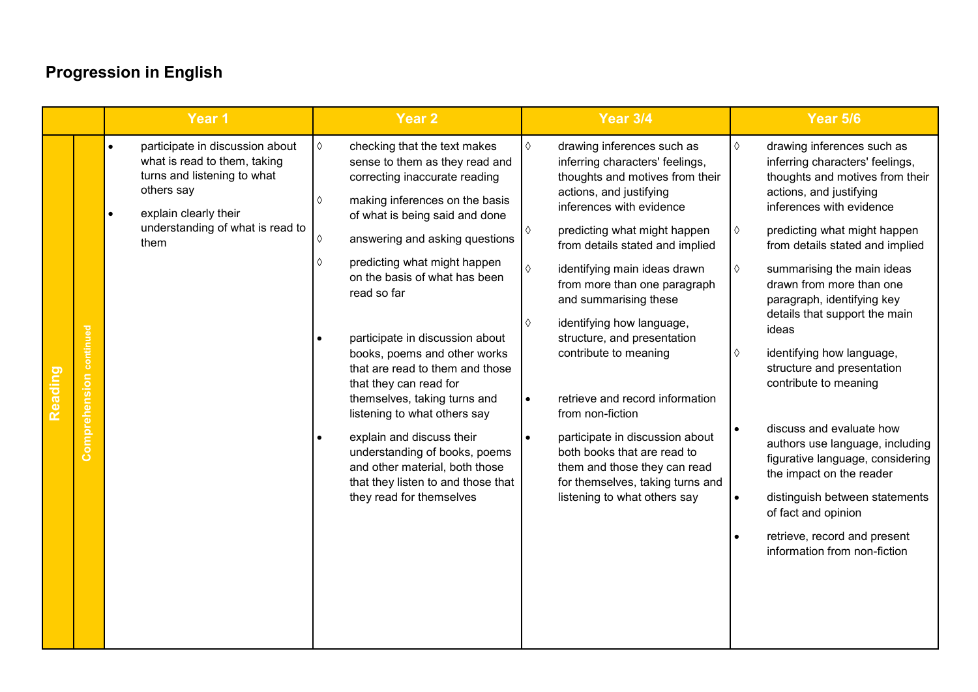| Year <sub>1</sub><br><b>Year 2</b>                                                                                                                                                                                                                                                                                                                                                                                                                                                                                                                                                                                                                                                                                                                                                                                                                                                                                                                                                                           | <b>Year 3/4</b>                                                                                                                                                                                                                                                                                                                                                                                                                                                                                                                                                                                                                       | Year 5/6                                                                                                                                                                                                                                                                                                                                                                                                                                                                                                                                                                                                                                                                                                                                                                 |
|--------------------------------------------------------------------------------------------------------------------------------------------------------------------------------------------------------------------------------------------------------------------------------------------------------------------------------------------------------------------------------------------------------------------------------------------------------------------------------------------------------------------------------------------------------------------------------------------------------------------------------------------------------------------------------------------------------------------------------------------------------------------------------------------------------------------------------------------------------------------------------------------------------------------------------------------------------------------------------------------------------------|---------------------------------------------------------------------------------------------------------------------------------------------------------------------------------------------------------------------------------------------------------------------------------------------------------------------------------------------------------------------------------------------------------------------------------------------------------------------------------------------------------------------------------------------------------------------------------------------------------------------------------------|--------------------------------------------------------------------------------------------------------------------------------------------------------------------------------------------------------------------------------------------------------------------------------------------------------------------------------------------------------------------------------------------------------------------------------------------------------------------------------------------------------------------------------------------------------------------------------------------------------------------------------------------------------------------------------------------------------------------------------------------------------------------------|
| participate in discussion about<br>$\Diamond$<br>$\Diamond$<br>checking that the text makes<br>$\bullet$<br>what is read to them, taking<br>sense to them as they read and<br>turns and listening to what<br>correcting inaccurate reading<br>others say<br>making inferences on the basis<br>♦<br>explain clearly their<br>of what is being said and done<br>$\bullet$<br>understanding of what is read to<br>♦<br>answering and asking questions<br>♦<br>them<br>predicting what might happen<br>♦<br>$\Diamond$<br>on the basis of what has been<br>read so far<br>♦<br>continued<br>participate in discussion about<br>books, poems and other works<br>that are read to them and those<br>Reading<br>Comprehension<br>that they can read for<br>themselves, taking turns and<br>$\bullet$<br>listening to what others say<br>explain and discuss their<br>$\bullet$<br>understanding of books, poems<br>and other material, both those<br>that they listen to and those that<br>they read for themselves | drawing inferences such as<br>inferring characters' feelings,<br>thoughts and motives from their<br>actions, and justifying<br>inferences with evidence<br>predicting what might happen<br>from details stated and implied<br>identifying main ideas drawn<br>from more than one paragraph<br>and summarising these<br>identifying how language,<br>structure, and presentation<br>contribute to meaning<br>retrieve and record information<br>from non-fiction<br>participate in discussion about<br>both books that are read to<br>them and those they can read<br>for themselves, taking turns and<br>listening to what others say | $\Diamond$<br>drawing inferences such as<br>inferring characters' feelings,<br>thoughts and motives from their<br>actions, and justifying<br>inferences with evidence<br>predicting what might happen<br>♦<br>from details stated and implied<br>$\Diamond$<br>summarising the main ideas<br>drawn from more than one<br>paragraph, identifying key<br>details that support the main<br>ideas<br>identifying how language,<br>♦<br>structure and presentation<br>contribute to meaning<br>discuss and evaluate how<br>authors use language, including<br>figurative language, considering<br>the impact on the reader<br>distinguish between statements<br>$\bullet$<br>of fact and opinion<br>retrieve, record and present<br>$\bullet$<br>information from non-fiction |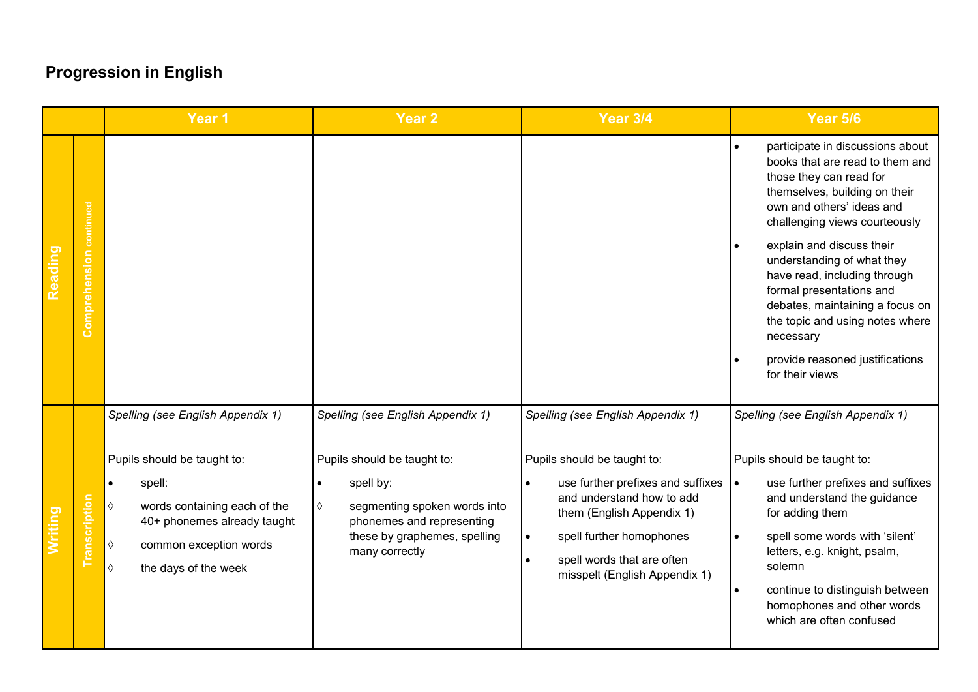|                |                         | Year 1                                                                                                                                                                                                                       | Year <sub>2</sub>                                                                                                                                                                                              | <b>Year 3/4</b>                                                                                                                                                                                                                                                                                   | Year 5/6                                                                                                                                                                                                                                                                                                                                                                                                                                                      |
|----------------|-------------------------|------------------------------------------------------------------------------------------------------------------------------------------------------------------------------------------------------------------------------|----------------------------------------------------------------------------------------------------------------------------------------------------------------------------------------------------------------|---------------------------------------------------------------------------------------------------------------------------------------------------------------------------------------------------------------------------------------------------------------------------------------------------|---------------------------------------------------------------------------------------------------------------------------------------------------------------------------------------------------------------------------------------------------------------------------------------------------------------------------------------------------------------------------------------------------------------------------------------------------------------|
| <b>Reading</b> | Comprehension continued |                                                                                                                                                                                                                              |                                                                                                                                                                                                                |                                                                                                                                                                                                                                                                                                   | participate in discussions about<br>books that are read to them and<br>those they can read for<br>themselves, building on their<br>own and others' ideas and<br>challenging views courteously<br>explain and discuss their<br>understanding of what they<br>have read, including through<br>formal presentations and<br>debates, maintaining a focus on<br>the topic and using notes where<br>necessary<br>provide reasoned justifications<br>for their views |
|                | Transcription           | Spelling (see English Appendix 1)<br>Pupils should be taught to:<br>spell:<br>$\Diamond$<br>words containing each of the<br>40+ phonemes already taught<br>♦<br>common exception words<br>$\Diamond$<br>the days of the week | Spelling (see English Appendix 1)<br>Pupils should be taught to:<br>spell by:<br>$\bullet$<br>♦<br>segmenting spoken words into<br>phonemes and representing<br>these by graphemes, spelling<br>many correctly | Spelling (see English Appendix 1)<br>Pupils should be taught to:<br>use further prefixes and suffixes<br>$\bullet$<br>and understand how to add<br>them (English Appendix 1)<br>spell further homophones<br>$\bullet$<br>spell words that are often<br>$\bullet$<br>misspelt (English Appendix 1) | Spelling (see English Appendix 1)<br>Pupils should be taught to:<br>use further prefixes and suffixes<br>$\bullet$<br>and understand the guidance<br>for adding them<br>spell some words with 'silent'<br>$\bullet$<br>letters, e.g. knight, psalm,<br>solemn<br>continue to distinguish between<br>$\bullet$<br>homophones and other words<br>which are often confused                                                                                       |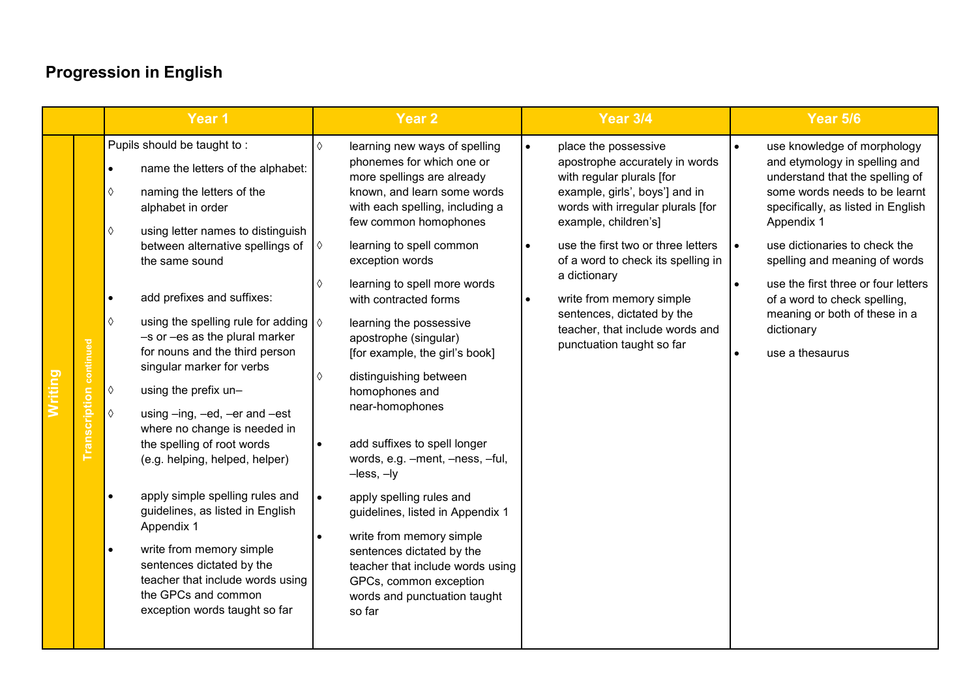|                            | Year 1                                                                                                                                                                                                                                                                                                                                                                                                                                                                                                                                                                                                                                                                                                                                                                                                                                                                                                        | <b>Year 2</b>                                                                                                                                                                                                                                                                                                                                                                                                                                                                                                                                                                                                                                                                                                                                                                                                               | <b>Year 3/4</b>                                                                                                                                                                                                                                                                                                                                                                                                                                 | <b>Year 5/6</b>                                                                                                                                                                                                                                                                                                                                                                                                                 |
|----------------------------|---------------------------------------------------------------------------------------------------------------------------------------------------------------------------------------------------------------------------------------------------------------------------------------------------------------------------------------------------------------------------------------------------------------------------------------------------------------------------------------------------------------------------------------------------------------------------------------------------------------------------------------------------------------------------------------------------------------------------------------------------------------------------------------------------------------------------------------------------------------------------------------------------------------|-----------------------------------------------------------------------------------------------------------------------------------------------------------------------------------------------------------------------------------------------------------------------------------------------------------------------------------------------------------------------------------------------------------------------------------------------------------------------------------------------------------------------------------------------------------------------------------------------------------------------------------------------------------------------------------------------------------------------------------------------------------------------------------------------------------------------------|-------------------------------------------------------------------------------------------------------------------------------------------------------------------------------------------------------------------------------------------------------------------------------------------------------------------------------------------------------------------------------------------------------------------------------------------------|---------------------------------------------------------------------------------------------------------------------------------------------------------------------------------------------------------------------------------------------------------------------------------------------------------------------------------------------------------------------------------------------------------------------------------|
| continued<br>Transcription | Pupils should be taught to:<br>name the letters of the alphabet:<br>$\bullet$<br>naming the letters of the<br>$\Diamond$<br>alphabet in order<br>$\Diamond$<br>using letter names to distinguish<br>between alternative spellings of<br>the same sound<br>add prefixes and suffixes:<br>$\bullet$<br>$\Diamond$<br>using the spelling rule for adding $\sqrt{6}$<br>-s or -es as the plural marker<br>for nouns and the third person<br>singular marker for verbs<br>using the prefix un-<br>$\Diamond$<br>$\Diamond$<br>using -ing, -ed, -er and -est<br>where no change is needed in<br>the spelling of root words<br>(e.g. helping, helped, helper)<br>apply simple spelling rules and<br>$\bullet$<br>guidelines, as listed in English<br>Appendix 1<br>write from memory simple<br>sentences dictated by the<br>teacher that include words using<br>the GPCs and common<br>exception words taught so far | $\Diamond$<br>learning new ways of spelling<br>phonemes for which one or<br>more spellings are already<br>known, and learn some words<br>with each spelling, including a<br>few common homophones<br>learning to spell common<br>$\Diamond$<br>exception words<br>learning to spell more words<br>♦<br>with contracted forms<br>learning the possessive<br>apostrophe (singular)<br>[for example, the girl's book]<br>distinguishing between<br>♦<br>homophones and<br>near-homophones<br>add suffixes to spell longer<br>words, e.g. -ment, -ness, -ful,<br>$-$ less, $-$ ly<br>apply spelling rules and<br>$\bullet$<br>guidelines, listed in Appendix 1<br>write from memory simple<br>sentences dictated by the<br>teacher that include words using<br>GPCs, common exception<br>words and punctuation taught<br>so far | place the possessive<br>$\bullet$<br>apostrophe accurately in words<br>with regular plurals [for<br>example, girls', boys'] and in<br>words with irregular plurals [for<br>example, children's]<br>use the first two or three letters<br>$\bullet$<br>of a word to check its spelling in<br>a dictionary<br>write from memory simple<br>$\bullet$<br>sentences, dictated by the<br>teacher, that include words and<br>punctuation taught so far | use knowledge of morphology<br>$\bullet$<br>and etymology in spelling and<br>understand that the spelling of<br>some words needs to be learnt<br>specifically, as listed in English<br>Appendix 1<br>use dictionaries to check the<br>I۰<br>spelling and meaning of words<br>use the first three or four letters<br>$\bullet$<br>of a word to check spelling,<br>meaning or both of these in a<br>dictionary<br>use a thesaurus |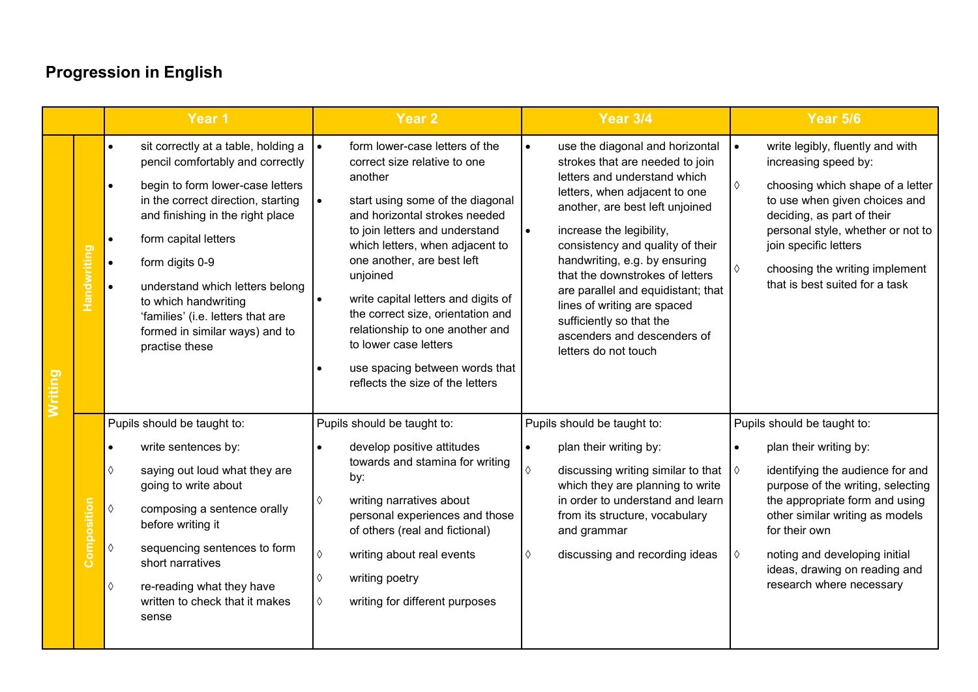|         |                    | Year <sub>1</sub>                                                                                                                                                                                                                                                                                                                                                                                                           | <b>Year 2</b>                                                                                                                                                                                                                                                                                                                                                                                                                                                                                         | <b>Year 3/4</b>                                                                                                                                                                                                                                                                                                                                                                                                                                                                              | Year 5/6                                                                                                                                                                                                                                                                                                                |
|---------|--------------------|-----------------------------------------------------------------------------------------------------------------------------------------------------------------------------------------------------------------------------------------------------------------------------------------------------------------------------------------------------------------------------------------------------------------------------|-------------------------------------------------------------------------------------------------------------------------------------------------------------------------------------------------------------------------------------------------------------------------------------------------------------------------------------------------------------------------------------------------------------------------------------------------------------------------------------------------------|----------------------------------------------------------------------------------------------------------------------------------------------------------------------------------------------------------------------------------------------------------------------------------------------------------------------------------------------------------------------------------------------------------------------------------------------------------------------------------------------|-------------------------------------------------------------------------------------------------------------------------------------------------------------------------------------------------------------------------------------------------------------------------------------------------------------------------|
| Writing | <b>Handwriting</b> | sit correctly at a table, holding a<br>$\bullet$<br>pencil comfortably and correctly<br>begin to form lower-case letters<br>in the correct direction, starting<br>and finishing in the right place<br>form capital letters<br>$\bullet$<br>form digits 0-9<br>$\bullet$<br>understand which letters belong<br>to which handwriting<br>'families' (i.e. letters that are<br>formed in similar ways) and to<br>practise these | form lower-case letters of the<br>$\bullet$<br>correct size relative to one<br>another<br>start using some of the diagonal<br>$\bullet$<br>and horizontal strokes needed<br>to join letters and understand<br>which letters, when adjacent to<br>one another, are best left<br>unjoined<br>write capital letters and digits of<br>the correct size, orientation and<br>relationship to one another and<br>to lower case letters<br>use spacing between words that<br>reflects the size of the letters | use the diagonal and horizontal<br>$\bullet$<br>strokes that are needed to join<br>letters and understand which<br>letters, when adjacent to one<br>another, are best left unjoined<br>increase the legibility,<br>$\bullet$<br>consistency and quality of their<br>handwriting, e.g. by ensuring<br>that the downstrokes of letters<br>are parallel and equidistant; that<br>lines of writing are spaced<br>sufficiently so that the<br>ascenders and descenders of<br>letters do not touch | write legibly, fluently and with<br>$\bullet$<br>increasing speed by:<br>♦<br>choosing which shape of a letter<br>to use when given choices and<br>deciding, as part of their<br>personal style, whether or not to<br>join specific letters<br>choosing the writing implement<br>♦<br>that is best suited for a task    |
|         | Composition        | Pupils should be taught to:<br>write sentences by:<br>saying out loud what they are<br>♦<br>going to write about<br>$\Diamond$<br>composing a sentence orally<br>before writing it<br>$\Diamond$<br>sequencing sentences to form<br>short narratives<br>$\Diamond$<br>re-reading what they have<br>written to check that it makes<br>sense                                                                                  | Pupils should be taught to:<br>develop positive attitudes<br>towards and stamina for writing<br>by:<br>writing narratives about<br>♦<br>personal experiences and those<br>of others (real and fictional)<br>$\Diamond$<br>writing about real events<br>writing poetry<br>♦<br>writing for different purposes<br>♦                                                                                                                                                                                     | Pupils should be taught to:<br>plan their writing by:<br>$\bullet$<br>$\Diamond$<br>discussing writing similar to that $\Diamond$<br>which they are planning to write<br>in order to understand and learn<br>from its structure, vocabulary<br>and grammar<br>discussing and recording ideas<br>$\Diamond$                                                                                                                                                                                   | Pupils should be taught to:<br>plan their writing by:<br>identifying the audience for and<br>purpose of the writing, selecting<br>the appropriate form and using<br>other similar writing as models<br>for their own<br>noting and developing initial<br>♦<br>ideas, drawing on reading and<br>research where necessary |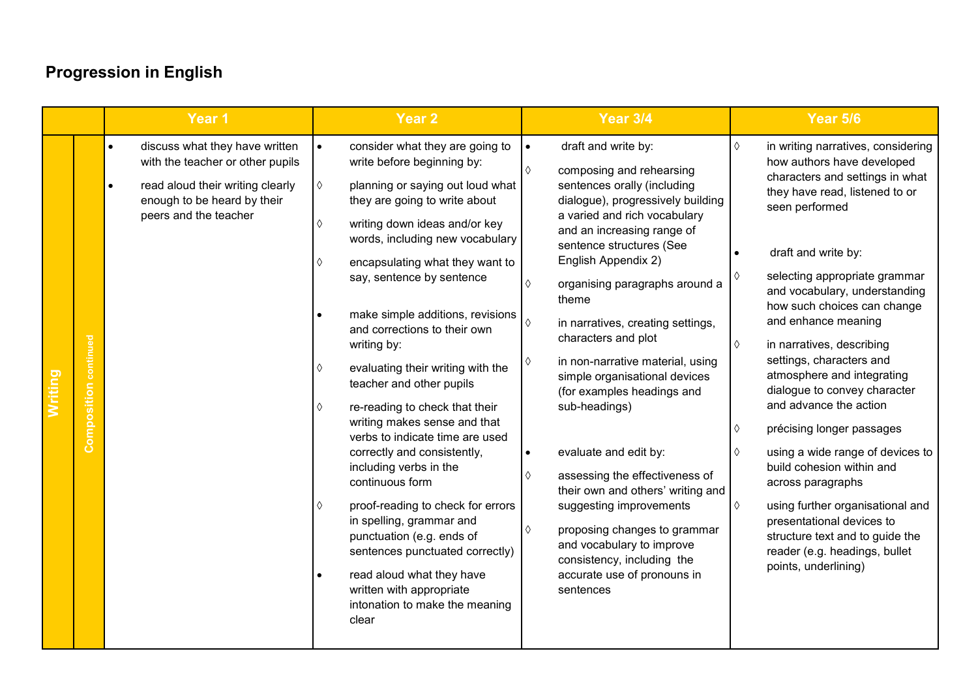|                              | Year <sub>1</sub>                                                                                                                                                                        | Year <sub>2</sub>                                                                                                                                                                                                                                                                                                                                                                                                                                                                                                                                                                                                                                                                                                                                                                                                                                                                                                     | <b>Year 3/4</b>                                                                                                                                                                                                                                                                                                                                                                                                                                                                                                                                                                                                                                                                                                                                                                                                      | <b>Year 5/6</b>                                                                                                                                                                                                                                                                                                                                                                                                                                                                                                                                                                                                                                                                                                                                                           |
|------------------------------|------------------------------------------------------------------------------------------------------------------------------------------------------------------------------------------|-----------------------------------------------------------------------------------------------------------------------------------------------------------------------------------------------------------------------------------------------------------------------------------------------------------------------------------------------------------------------------------------------------------------------------------------------------------------------------------------------------------------------------------------------------------------------------------------------------------------------------------------------------------------------------------------------------------------------------------------------------------------------------------------------------------------------------------------------------------------------------------------------------------------------|----------------------------------------------------------------------------------------------------------------------------------------------------------------------------------------------------------------------------------------------------------------------------------------------------------------------------------------------------------------------------------------------------------------------------------------------------------------------------------------------------------------------------------------------------------------------------------------------------------------------------------------------------------------------------------------------------------------------------------------------------------------------------------------------------------------------|---------------------------------------------------------------------------------------------------------------------------------------------------------------------------------------------------------------------------------------------------------------------------------------------------------------------------------------------------------------------------------------------------------------------------------------------------------------------------------------------------------------------------------------------------------------------------------------------------------------------------------------------------------------------------------------------------------------------------------------------------------------------------|
| <b>Composition</b> continued | discuss what they have written<br>$\bullet$<br>with the teacher or other pupils<br>read aloud their writing clearly<br>$\bullet$<br>enough to be heard by their<br>peers and the teacher | consider what they are going to<br>$\bullet$<br>write before beginning by:<br>planning or saying out loud what<br>♦<br>they are going to write about<br>writing down ideas and/or key<br>♦<br>words, including new vocabulary<br>encapsulating what they want to<br>♦<br>say, sentence by sentence<br>make simple additions, revisions<br>$\bullet$<br>and corrections to their own<br>writing by:<br>evaluating their writing with the<br>♦<br>teacher and other pupils<br>re-reading to check that their<br>♦<br>writing makes sense and that<br>verbs to indicate time are used<br>correctly and consistently,<br>including verbs in the<br>continuous form<br>proof-reading to check for errors<br>♦<br>in spelling, grammar and<br>punctuation (e.g. ends of<br>sentences punctuated correctly)<br>read aloud what they have<br>$\bullet$<br>written with appropriate<br>intonation to make the meaning<br>clear | draft and write by:<br>$\bullet$<br>$\Diamond$<br>composing and rehearsing<br>sentences orally (including<br>dialogue), progressively building<br>a varied and rich vocabulary<br>and an increasing range of<br>sentence structures (See<br>English Appendix 2)<br>$\Diamond$<br>organising paragraphs around a<br>theme<br>$\Diamond$<br>in narratives, creating settings,<br>characters and plot<br>in non-narrative material, using<br>♦<br>simple organisational devices<br>(for examples headings and<br>sub-headings)<br>evaluate and edit by:<br>$\bullet$<br>assessing the effectiveness of<br>♦<br>their own and others' writing and<br>suggesting improvements<br>♦<br>proposing changes to grammar<br>and vocabulary to improve<br>consistency, including the<br>accurate use of pronouns in<br>sentences | in writing narratives, considering<br>$\Diamond$<br>how authors have developed<br>characters and settings in what<br>they have read, listened to or<br>seen performed<br>draft and write by:<br>selecting appropriate grammar<br>and vocabulary, understanding<br>how such choices can change<br>and enhance meaning<br>♦<br>in narratives, describing<br>settings, characters and<br>atmosphere and integrating<br>dialogue to convey character<br>and advance the action<br>précising longer passages<br>♦<br>using a wide range of devices to<br>♦<br>build cohesion within and<br>across paragraphs<br>using further organisational and<br>♦<br>presentational devices to<br>structure text and to guide the<br>reader (e.g. headings, bullet<br>points, underlining) |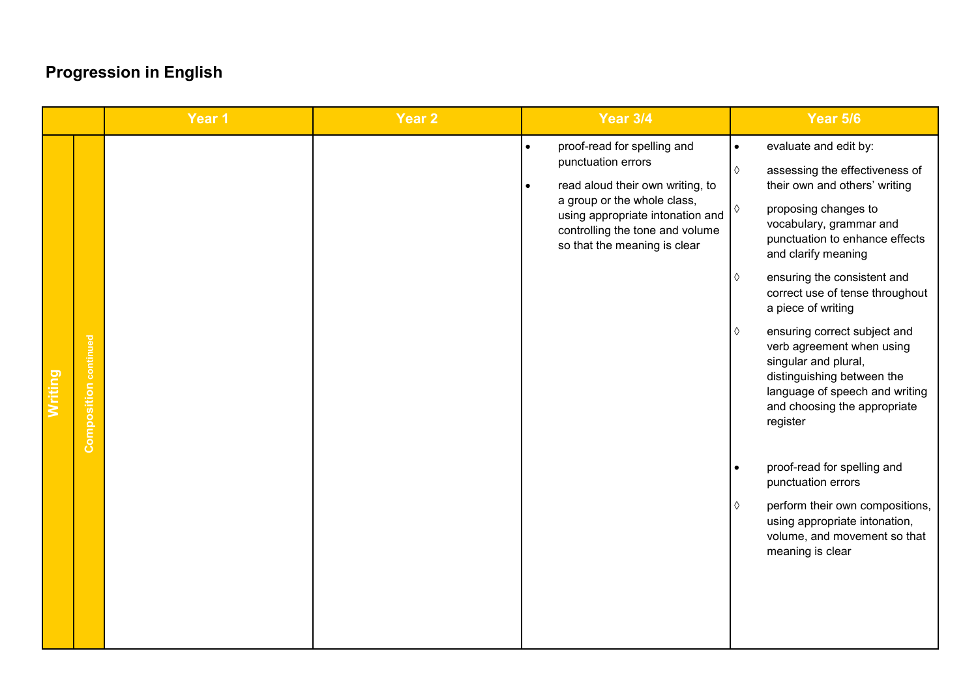|                                                | Year 1 | Year <sub>2</sub> | <b>Year 3/4</b>                                                                                                                                                                                                                                       | <b>Year 5/6</b>                                                                                                                                                                                                                                                                                                                                                                                                                                                                                                                                                                                                                                                                                                                        |
|------------------------------------------------|--------|-------------------|-------------------------------------------------------------------------------------------------------------------------------------------------------------------------------------------------------------------------------------------------------|----------------------------------------------------------------------------------------------------------------------------------------------------------------------------------------------------------------------------------------------------------------------------------------------------------------------------------------------------------------------------------------------------------------------------------------------------------------------------------------------------------------------------------------------------------------------------------------------------------------------------------------------------------------------------------------------------------------------------------------|
| <b>Composition</b> continued<br><b>Writing</b> |        |                   | proof-read for spelling and<br>$\bullet$<br>punctuation errors<br>read aloud their own writing, to<br>$\bullet$<br>a group or the whole class,<br>using appropriate intonation and<br>controlling the tone and volume<br>so that the meaning is clear | evaluate and edit by:<br>$\bullet$<br>$\Diamond$<br>assessing the effectiveness of<br>their own and others' writing<br>proposing changes to<br>♦<br>vocabulary, grammar and<br>punctuation to enhance effects<br>and clarify meaning<br>ensuring the consistent and<br>♦<br>correct use of tense throughout<br>a piece of writing<br>ensuring correct subject and<br>♦<br>verb agreement when using<br>singular and plural,<br>distinguishing between the<br>language of speech and writing<br>and choosing the appropriate<br>register<br>proof-read for spelling and<br>$\bullet$<br>punctuation errors<br>perform their own compositions,<br>♦<br>using appropriate intonation,<br>volume, and movement so that<br>meaning is clear |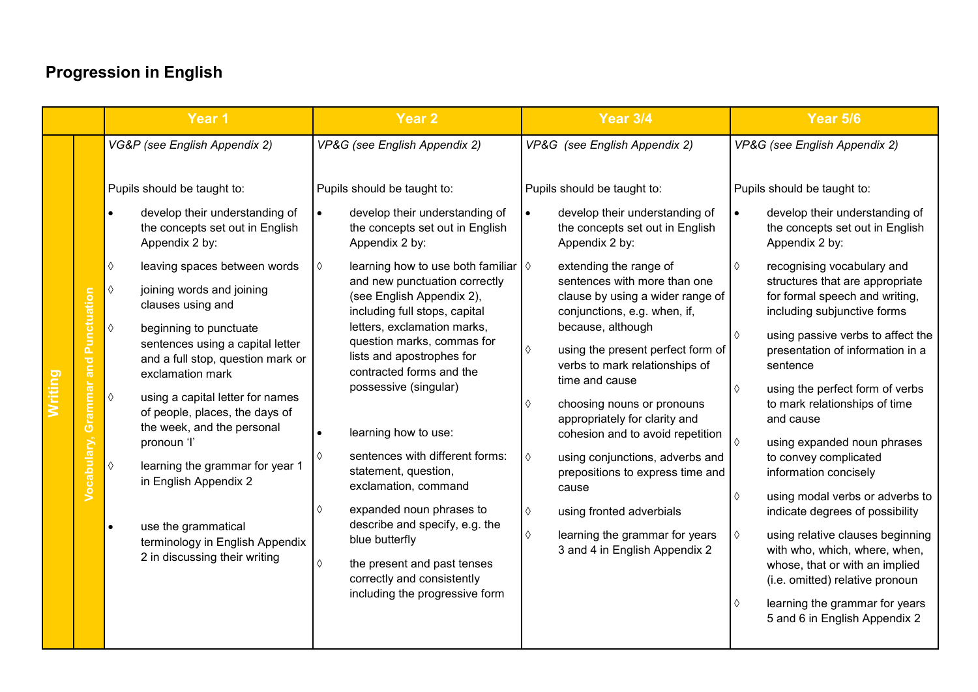| VG&P (see English Appendix 2)<br>VP&G (see English Appendix 2)<br>VP&G (see English Appendix 2)<br>Pupils should be taught to:<br>Pupils should be taught to:<br>Pupils should be taught to:<br>develop their understanding of<br>develop their understanding of<br>develop their understanding of<br>$\bullet$<br>$\bullet$<br>$\bullet$<br>the concepts set out in English<br>the concepts set out in English<br>the concepts set out in English                                                                                                                                                                                                                                                                                                                                                                                                                                                                                                                                                                                                                                                                                                                                                                                                                                                                                                                                                                                                                                                                                                                                                                                                                                                                                                                                                                                                                                                                                      | VP&G (see English Appendix 2)                                                                                                                                                                                                                                                                                                                                                                                                                                                                                                                                                                                                                                                                                                                                                      |
|-----------------------------------------------------------------------------------------------------------------------------------------------------------------------------------------------------------------------------------------------------------------------------------------------------------------------------------------------------------------------------------------------------------------------------------------------------------------------------------------------------------------------------------------------------------------------------------------------------------------------------------------------------------------------------------------------------------------------------------------------------------------------------------------------------------------------------------------------------------------------------------------------------------------------------------------------------------------------------------------------------------------------------------------------------------------------------------------------------------------------------------------------------------------------------------------------------------------------------------------------------------------------------------------------------------------------------------------------------------------------------------------------------------------------------------------------------------------------------------------------------------------------------------------------------------------------------------------------------------------------------------------------------------------------------------------------------------------------------------------------------------------------------------------------------------------------------------------------------------------------------------------------------------------------------------------|------------------------------------------------------------------------------------------------------------------------------------------------------------------------------------------------------------------------------------------------------------------------------------------------------------------------------------------------------------------------------------------------------------------------------------------------------------------------------------------------------------------------------------------------------------------------------------------------------------------------------------------------------------------------------------------------------------------------------------------------------------------------------------|
|                                                                                                                                                                                                                                                                                                                                                                                                                                                                                                                                                                                                                                                                                                                                                                                                                                                                                                                                                                                                                                                                                                                                                                                                                                                                                                                                                                                                                                                                                                                                                                                                                                                                                                                                                                                                                                                                                                                                         |                                                                                                                                                                                                                                                                                                                                                                                                                                                                                                                                                                                                                                                                                                                                                                                    |
| Appendix 2 by:<br>Appendix 2 by:<br>Appendix 2 by:<br>learning how to use both familiar $\Diamond$<br>$\Diamond$<br>leaving spaces between words<br>extending the range of<br>♦<br>♦<br>sentences with more than one<br>and new punctuation correctly<br>$\Diamond$<br>joining words and joining<br>Punctuation<br>(see English Appendix 2),<br>clause by using a wider range of<br>clauses using and<br>including full stops, capital<br>conjunctions, e.g. when, if,<br>letters, exclamation marks,<br>because, although<br>$\Diamond$<br>beginning to punctuate<br>$\Diamond$<br>question marks, commas for<br>sentences using a capital letter<br>using the present perfect form of<br>♦<br>lists and apostrophes for<br>and a full stop, question mark or<br>and<br>verbs to mark relationships of<br>sentence<br>contracted forms and the<br>exclamation mark<br>time and cause<br>Grammar<br>possessive (singular)<br>$\Diamond$<br>$\Diamond$<br>using a capital letter for names<br>choosing nouns or pronouns<br>♦<br>of people, places, the days of<br>appropriately for clarity and<br>the week, and the personal<br>learning how to use:<br>cohesion and to avoid repetition<br>Vocabulary,<br>$\Diamond$<br>pronoun 'l'<br>sentences with different forms:<br>♦<br>♦<br>using conjunctions, adverbs and<br>$\Diamond$<br>learning the grammar for year 1<br>statement, question,<br>prepositions to express time and<br>in English Appendix 2<br>exclamation, command<br>cause<br>$\Diamond$<br>expanded noun phrases to<br>♦<br>♦<br>using fronted adverbials<br>describe and specify, e.g. the<br>use the grammatical<br>$\bullet$<br>$\Diamond$<br>learning the grammar for years<br>♦<br>blue butterfly<br>terminology in English Appendix<br>3 and 4 in English Appendix 2<br>2 in discussing their writing<br>the present and past tenses<br>♦<br>correctly and consistently<br>including the progressive form<br>♦ | Pupils should be taught to:<br>develop their understanding of<br>the concepts set out in English<br>Appendix 2 by:<br>recognising vocabulary and<br>structures that are appropriate<br>for formal speech and writing,<br>including subjunctive forms<br>using passive verbs to affect the<br>presentation of information in a<br>using the perfect form of verbs<br>to mark relationships of time<br>and cause<br>using expanded noun phrases<br>to convey complicated<br>information concisely<br>using modal verbs or adverbs to<br>indicate degrees of possibility<br>using relative clauses beginning<br>with who, which, where, when,<br>whose, that or with an implied<br>(i.e. omitted) relative pronoun<br>learning the grammar for years<br>5 and 6 in English Appendix 2 |